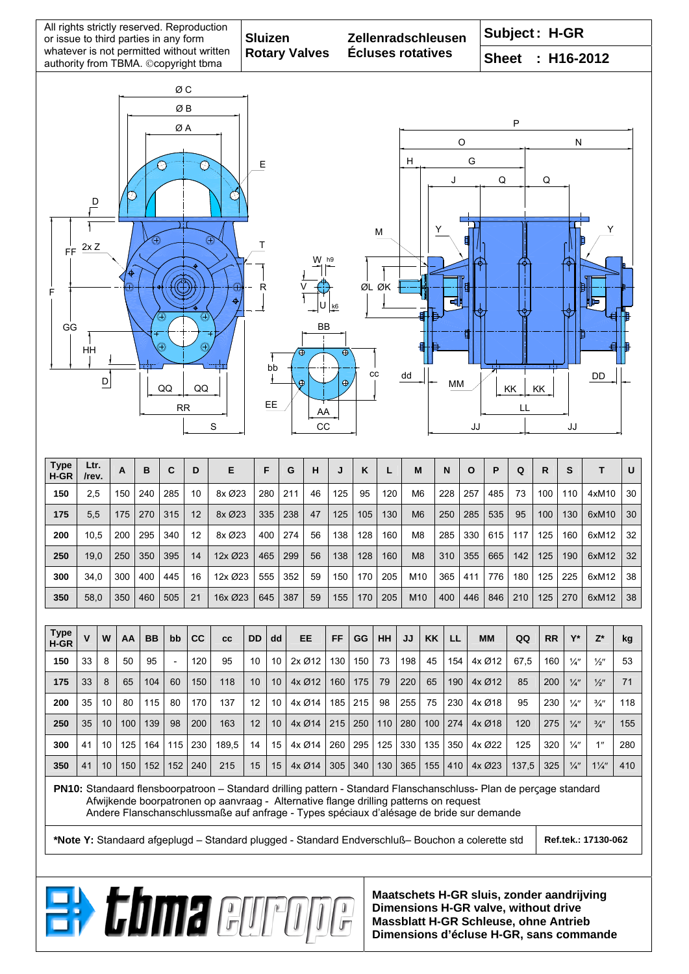| All rights strictly reserved. Reproduction<br>or issue to third parties in any form<br>whatever is not permitted without written |            |          |            |            |             |            |                                                                                       | <b>Sluizen</b><br><b>Rotary Valves</b> |          |                  |          |                |                          | Zellenradschleusen |                                  |            |            |              | Subject: H-GR                                                                                                                                                                                                                                                                                                                                                                                                                                                                                                                                                                                                                                                                                                                                                                                                                                                                                                                                                                                                                                                                                                                                                                                                                                                                   |                                              |   |  |                                        |  |  |  |
|----------------------------------------------------------------------------------------------------------------------------------|------------|----------|------------|------------|-------------|------------|---------------------------------------------------------------------------------------|----------------------------------------|----------|------------------|----------|----------------|--------------------------|--------------------|----------------------------------|------------|------------|--------------|---------------------------------------------------------------------------------------------------------------------------------------------------------------------------------------------------------------------------------------------------------------------------------------------------------------------------------------------------------------------------------------------------------------------------------------------------------------------------------------------------------------------------------------------------------------------------------------------------------------------------------------------------------------------------------------------------------------------------------------------------------------------------------------------------------------------------------------------------------------------------------------------------------------------------------------------------------------------------------------------------------------------------------------------------------------------------------------------------------------------------------------------------------------------------------------------------------------------------------------------------------------------------------|----------------------------------------------|---|--|----------------------------------------|--|--|--|
| authority from TBMA. ©copyright tbma                                                                                             |            |          |            |            |             |            |                                                                                       |                                        |          |                  |          |                | <b>Écluses rotatives</b> |                    |                                  |            |            |              |                                                                                                                                                                                                                                                                                                                                                                                                                                                                                                                                                                                                                                                                                                                                                                                                                                                                                                                                                                                                                                                                                                                                                                                                                                                                                 |                                              |   |  |                                        |  |  |  |
|                                                                                                                                  |            |          |            |            | ØС          |            |                                                                                       |                                        |          |                  |          |                |                          |                    |                                  |            |            |              |                                                                                                                                                                                                                                                                                                                                                                                                                                                                                                                                                                                                                                                                                                                                                                                                                                                                                                                                                                                                                                                                                                                                                                                                                                                                                 |                                              |   |  |                                        |  |  |  |
| ØB                                                                                                                               |            |          |            |            |             |            |                                                                                       |                                        |          |                  |          |                |                          |                    |                                  |            |            |              |                                                                                                                                                                                                                                                                                                                                                                                                                                                                                                                                                                                                                                                                                                                                                                                                                                                                                                                                                                                                                                                                                                                                                                                                                                                                                 |                                              |   |  |                                        |  |  |  |
|                                                                                                                                  |            |          |            |            | ØA          |            |                                                                                       |                                        |          |                  |          |                |                          |                    |                                  |            |            |              |                                                                                                                                                                                                                                                                                                                                                                                                                                                                                                                                                                                                                                                                                                                                                                                                                                                                                                                                                                                                                                                                                                                                                                                                                                                                                 |                                              |   |  |                                        |  |  |  |
|                                                                                                                                  |            |          |            |            |             |            |                                                                                       | Е                                      |          |                  |          |                |                          | $\circ$<br>G<br>н  |                                  |            |            |              |                                                                                                                                                                                                                                                                                                                                                                                                                                                                                                                                                                                                                                                                                                                                                                                                                                                                                                                                                                                                                                                                                                                                                                                                                                                                                 |                                              |   |  |                                        |  |  |  |
| R                                                                                                                                |            |          |            |            |             |            |                                                                                       |                                        |          |                  |          |                |                          |                    |                                  |            | J          |              | Q                                                                                                                                                                                                                                                                                                                                                                                                                                                                                                                                                                                                                                                                                                                                                                                                                                                                                                                                                                                                                                                                                                                                                                                                                                                                               |                                              | Q |  |                                        |  |  |  |
| $\overline{\mathsf{D}}$                                                                                                          |            |          |            |            |             |            |                                                                                       |                                        |          |                  |          |                |                          |                    |                                  |            |            |              |                                                                                                                                                                                                                                                                                                                                                                                                                                                                                                                                                                                                                                                                                                                                                                                                                                                                                                                                                                                                                                                                                                                                                                                                                                                                                 |                                              |   |  |                                        |  |  |  |
|                                                                                                                                  |            |          |            |            |             |            |                                                                                       |                                        |          |                  |          |                |                          | М                  |                                  |            |            |              |                                                                                                                                                                                                                                                                                                                                                                                                                                                                                                                                                                                                                                                                                                                                                                                                                                                                                                                                                                                                                                                                                                                                                                                                                                                                                 |                                              |   |  | Y                                      |  |  |  |
| ⊕<br>Œ<br>2xZ<br>FF                                                                                                              |            |          |            |            |             |            |                                                                                       | Τ                                      |          |                  |          |                |                          |                    |                                  |            |            |              |                                                                                                                                                                                                                                                                                                                                                                                                                                                                                                                                                                                                                                                                                                                                                                                                                                                                                                                                                                                                                                                                                                                                                                                                                                                                                 |                                              |   |  |                                        |  |  |  |
|                                                                                                                                  |            |          |            |            |             |            |                                                                                       |                                        |          |                  |          |                |                          |                    |                                  |            |            |              |                                                                                                                                                                                                                                                                                                                                                                                                                                                                                                                                                                                                                                                                                                                                                                                                                                                                                                                                                                                                                                                                                                                                                                                                                                                                                 |                                              |   |  |                                        |  |  |  |
| F                                                                                                                                |            |          |            |            |             |            |                                                                                       |                                        |          |                  |          |                |                          | ØL ØK              |                                  |            |            |              |                                                                                                                                                                                                                                                                                                                                                                                                                                                                                                                                                                                                                                                                                                                                                                                                                                                                                                                                                                                                                                                                                                                                                                                                                                                                                 |                                              |   |  |                                        |  |  |  |
|                                                                                                                                  |            |          |            |            | ⊕           | Œ          |                                                                                       |                                        |          |                  | U        | k <sub>6</sub> |                          |                    |                                  |            |            |              |                                                                                                                                                                                                                                                                                                                                                                                                                                                                                                                                                                                                                                                                                                                                                                                                                                                                                                                                                                                                                                                                                                                                                                                                                                                                                 |                                              |   |  |                                        |  |  |  |
| GG<br>Ð                                                                                                                          |            |          |            |            |             |            |                                                                                       |                                        |          |                  | ВB       |                |                          |                    |                                  |            |            |              |                                                                                                                                                                                                                                                                                                                                                                                                                                                                                                                                                                                                                                                                                                                                                                                                                                                                                                                                                                                                                                                                                                                                                                                                                                                                                 |                                              |   |  |                                        |  |  |  |
| HH                                                                                                                               |            |          |            |            |             |            |                                                                                       |                                        | bb       | ⊕                |          | $\oplus$       |                          |                    |                                  |            |            |              |                                                                                                                                                                                                                                                                                                                                                                                                                                                                                                                                                                                                                                                                                                                                                                                                                                                                                                                                                                                                                                                                                                                                                                                                                                                                                 |                                              |   |  |                                        |  |  |  |
| $\mathsf{D}$<br>QQ<br>QQ                                                                                                         |            |          |            |            |             |            |                                                                                       |                                        |          | $\oplus$         |          | ⊕              |                          | cc                 | dd                               |            | МM         |              |                                                                                                                                                                                                                                                                                                                                                                                                                                                                                                                                                                                                                                                                                                                                                                                                                                                                                                                                                                                                                                                                                                                                                                                                                                                                                 |                                              |   |  |                                        |  |  |  |
|                                                                                                                                  |            |          |            |            | <b>RR</b>   |            |                                                                                       |                                        | EE.      |                  | AA       |                |                          |                    |                                  |            |            |              | <b>Sheet</b><br>$: H16-2012$<br>P<br>${\sf N}$<br>DD<br>KK<br>KK<br>LL<br>JJ<br>P<br>Q<br>$\mathsf{R}$<br>S<br>T<br>U<br>485<br>100<br>110<br>4xM10<br>30<br>73<br>535<br>100<br>130<br>95<br>6xM10<br>30<br>615<br>32<br>117<br>125<br>160<br>6xM12<br>142<br>125<br>190<br>6xM12<br>665<br>32<br>180<br>125<br>225<br>6xM12<br>38<br>776<br>846<br>210<br>125<br>270<br>6xM12<br>38<br>$Y^*$<br><b>MM</b><br>QQ<br><b>RR</b><br>$Z^*$<br>kg<br>67,5<br>4x Ø12<br>160<br>$\frac{1}{4}$<br>$\frac{1}{2}$ "<br>53<br>71<br>4x Ø12<br>200<br>$\frac{1}{4}$<br>$\frac{1}{2}$ "<br>85<br>118<br>4x Ø18<br>95<br>230<br>$\frac{1}{4}$<br>$\frac{3}{4}$ "<br>4x Ø18<br>120<br>$\frac{1}{4}$<br>$\frac{3}{4}$<br>155<br>275<br>1"<br>280<br>4x Ø22<br>125<br>320<br>$\frac{1}{4}$<br>4x Ø23<br>137,5<br>$1\frac{1}{4}$<br>410<br>325<br>$\frac{1}{4}$<br>PN10: Standaard flensboorpatroon - Standard drilling pattern - Standard Flanschanschluss- Plan de perçage standard<br>Andere Flanschanschlussmaße auf anfrage - Types spéciaux d'alésage de bride sur demande<br>*Note Y: Standaard afgeplugd - Standard plugged - Standard Endverschluß- Bouchon a colerette std<br>Ref.tek.: 17130-062<br>Maatschets H-GR sluis, zonder aandrijving<br>Dimensions H-GR valve, without drive |                                              |   |  |                                        |  |  |  |
|                                                                                                                                  |            |          |            |            |             |            | S                                                                                     |                                        |          |                  | CC       |                |                          |                    |                                  |            |            | JJ           |                                                                                                                                                                                                                                                                                                                                                                                                                                                                                                                                                                                                                                                                                                                                                                                                                                                                                                                                                                                                                                                                                                                                                                                                                                                                                 |                                              |   |  |                                        |  |  |  |
| Type                                                                                                                             | Ltr.       |          |            |            |             |            |                                                                                       |                                        |          |                  |          |                |                          |                    |                                  |            |            |              |                                                                                                                                                                                                                                                                                                                                                                                                                                                                                                                                                                                                                                                                                                                                                                                                                                                                                                                                                                                                                                                                                                                                                                                                                                                                                 |                                              |   |  |                                        |  |  |  |
| H-GR                                                                                                                             | /rev.      |          | A          | B          | $\mathbf c$ | D          | Е                                                                                     | F                                      |          | G                | н        | J              | Κ                        | L                  | M                                |            | N          | $\mathbf{o}$ |                                                                                                                                                                                                                                                                                                                                                                                                                                                                                                                                                                                                                                                                                                                                                                                                                                                                                                                                                                                                                                                                                                                                                                                                                                                                                 |                                              |   |  |                                        |  |  |  |
| 150<br>175                                                                                                                       | 2,5<br>5,5 |          | 150<br>175 | 240<br>270 | 285<br>315  | 10<br>12   | 8x Ø23<br>8x Ø23                                                                      | 280<br>335                             |          | 211<br>238       | 46<br>47 | 125<br>125     | 95<br>105                | 120<br>130         | M <sub>6</sub><br>M <sub>6</sub> |            | 228<br>250 | 257<br>285   |                                                                                                                                                                                                                                                                                                                                                                                                                                                                                                                                                                                                                                                                                                                                                                                                                                                                                                                                                                                                                                                                                                                                                                                                                                                                                 |                                              |   |  |                                        |  |  |  |
| 200                                                                                                                              | 10,5       |          | 200        | 295        | 340         | 12         | 8x Ø23                                                                                | 400                                    |          | 274              | 56       | 138            | 128                      | 160                | M <sub>8</sub>                   |            | 285        | 330          |                                                                                                                                                                                                                                                                                                                                                                                                                                                                                                                                                                                                                                                                                                                                                                                                                                                                                                                                                                                                                                                                                                                                                                                                                                                                                 |                                              |   |  |                                        |  |  |  |
| 250                                                                                                                              | 19,0       |          | 250        | 350        | 395         | 14         | 12x Ø23                                                                               | 465                                    |          | 299              | 56       | 138            | 128                      | 160                | M <sub>8</sub>                   |            | 310        | 355          |                                                                                                                                                                                                                                                                                                                                                                                                                                                                                                                                                                                                                                                                                                                                                                                                                                                                                                                                                                                                                                                                                                                                                                                                                                                                                 |                                              |   |  |                                        |  |  |  |
| 300                                                                                                                              | 34,0       |          | 300        | 400        | 445         | 16         | 12x Ø23                                                                               | 555                                    |          | 352              | 59       | 150            | 170                      | 205                | M10                              |            | 365        | 411          |                                                                                                                                                                                                                                                                                                                                                                                                                                                                                                                                                                                                                                                                                                                                                                                                                                                                                                                                                                                                                                                                                                                                                                                                                                                                                 |                                              |   |  |                                        |  |  |  |
| 350                                                                                                                              | 58,0       |          | 350        | 460        | 505         | 21         | 16x Ø23                                                                               | 645                                    |          | 387              | 59       | 155            | 170                      | 205                | M <sub>10</sub>                  |            | 400        | 446          |                                                                                                                                                                                                                                                                                                                                                                                                                                                                                                                                                                                                                                                                                                                                                                                                                                                                                                                                                                                                                                                                                                                                                                                                                                                                                 |                                              |   |  |                                        |  |  |  |
|                                                                                                                                  |            |          |            |            |             |            |                                                                                       |                                        |          |                  |          |                |                          |                    |                                  |            |            |              |                                                                                                                                                                                                                                                                                                                                                                                                                                                                                                                                                                                                                                                                                                                                                                                                                                                                                                                                                                                                                                                                                                                                                                                                                                                                                 |                                              |   |  |                                        |  |  |  |
| <b>Type</b><br>H-GR                                                                                                              | V          | W        | AA         | <b>BB</b>  | bb          | cc         | <b>CC</b>                                                                             | <b>DD</b>                              | dd       | <b>EE</b>        |          | <b>FF</b>      | GG                       | <b>HH</b>          | JJ                               | <b>KK</b>  | LL.        |              |                                                                                                                                                                                                                                                                                                                                                                                                                                                                                                                                                                                                                                                                                                                                                                                                                                                                                                                                                                                                                                                                                                                                                                                                                                                                                 |                                              |   |  |                                        |  |  |  |
| 150                                                                                                                              | 33         | 8        | 50         | 95         |             | 120        | 95                                                                                    | 10                                     | 10       | 2x Ø12           |          | 130            | 150                      | 73                 | 198                              | 45         | 154        |              |                                                                                                                                                                                                                                                                                                                                                                                                                                                                                                                                                                                                                                                                                                                                                                                                                                                                                                                                                                                                                                                                                                                                                                                                                                                                                 |                                              |   |  |                                        |  |  |  |
| 175                                                                                                                              | 33         | 8        | 65         | 104        | 60          | 150        | 118                                                                                   | 10                                     | 10       | 4x Ø12           |          | 160            | 175                      | 79                 | 220                              | 65         | 190        |              |                                                                                                                                                                                                                                                                                                                                                                                                                                                                                                                                                                                                                                                                                                                                                                                                                                                                                                                                                                                                                                                                                                                                                                                                                                                                                 |                                              |   |  |                                        |  |  |  |
| 200                                                                                                                              | 35         | 10       | 80         | 115        | 80          | 170        | 137                                                                                   | 12                                     | 10       | 4x Ø14           |          | 185            | 215                      | 98                 | 255                              | 75         | 230        |              |                                                                                                                                                                                                                                                                                                                                                                                                                                                                                                                                                                                                                                                                                                                                                                                                                                                                                                                                                                                                                                                                                                                                                                                                                                                                                 |                                              |   |  |                                        |  |  |  |
| 250                                                                                                                              | 35         | 10       | 100        | 139        | 98          | 200        | 163                                                                                   | 12                                     | 10       | 4x Ø14           |          | 215            | 250                      | 110                | 280                              | 100        | 274        |              |                                                                                                                                                                                                                                                                                                                                                                                                                                                                                                                                                                                                                                                                                                                                                                                                                                                                                                                                                                                                                                                                                                                                                                                                                                                                                 |                                              |   |  |                                        |  |  |  |
| 300<br>350                                                                                                                       | 41<br>41   | 10<br>10 | 125<br>150 | 164        | 115<br>152  | 230<br>240 | 189,5<br>215                                                                          | 14<br>15                               | 15<br>15 | 4x Ø14<br>4x Ø14 |          | 260<br>305     | 295<br>340               | 125<br>130         | 330<br>365                       | 135<br>155 | 350<br>410 |              |                                                                                                                                                                                                                                                                                                                                                                                                                                                                                                                                                                                                                                                                                                                                                                                                                                                                                                                                                                                                                                                                                                                                                                                                                                                                                 |                                              |   |  |                                        |  |  |  |
| 152                                                                                                                              |            |          |            |            |             |            |                                                                                       |                                        |          |                  |          |                |                          |                    |                                  |            |            |              |                                                                                                                                                                                                                                                                                                                                                                                                                                                                                                                                                                                                                                                                                                                                                                                                                                                                                                                                                                                                                                                                                                                                                                                                                                                                                 |                                              |   |  |                                        |  |  |  |
|                                                                                                                                  |            |          |            |            |             |            | Afwijkende boorpatronen op aanvraag - Alternative flange drilling patterns on request |                                        |          |                  |          |                |                          |                    |                                  |            |            |              |                                                                                                                                                                                                                                                                                                                                                                                                                                                                                                                                                                                                                                                                                                                                                                                                                                                                                                                                                                                                                                                                                                                                                                                                                                                                                 |                                              |   |  |                                        |  |  |  |
|                                                                                                                                  |            |          |            |            |             |            |                                                                                       |                                        |          |                  |          |                |                          |                    |                                  |            |            |              |                                                                                                                                                                                                                                                                                                                                                                                                                                                                                                                                                                                                                                                                                                                                                                                                                                                                                                                                                                                                                                                                                                                                                                                                                                                                                 |                                              |   |  |                                        |  |  |  |
|                                                                                                                                  |            |          |            |            |             |            |                                                                                       |                                        |          |                  |          |                |                          |                    |                                  |            |            |              |                                                                                                                                                                                                                                                                                                                                                                                                                                                                                                                                                                                                                                                                                                                                                                                                                                                                                                                                                                                                                                                                                                                                                                                                                                                                                 |                                              |   |  |                                        |  |  |  |
|                                                                                                                                  |            |          |            |            |             |            |                                                                                       |                                        |          |                  |          |                |                          |                    |                                  |            |            |              |                                                                                                                                                                                                                                                                                                                                                                                                                                                                                                                                                                                                                                                                                                                                                                                                                                                                                                                                                                                                                                                                                                                                                                                                                                                                                 |                                              |   |  |                                        |  |  |  |
|                                                                                                                                  |            |          |            |            |             |            |                                                                                       |                                        |          |                  |          |                |                          |                    |                                  |            |            |              |                                                                                                                                                                                                                                                                                                                                                                                                                                                                                                                                                                                                                                                                                                                                                                                                                                                                                                                                                                                                                                                                                                                                                                                                                                                                                 |                                              |   |  |                                        |  |  |  |
|                                                                                                                                  |            |          |            |            |             |            | <b>Bit thma</b> europe                                                                |                                        |          |                  |          |                |                          |                    |                                  |            |            |              |                                                                                                                                                                                                                                                                                                                                                                                                                                                                                                                                                                                                                                                                                                                                                                                                                                                                                                                                                                                                                                                                                                                                                                                                                                                                                 | <b>Massblatt H-GR Schleuse, ohne Antrieb</b> |   |  | Dimensions d'écluse H-CP sans commande |  |  |  |

**Dimensions d'écluse H-GR, sans commande**